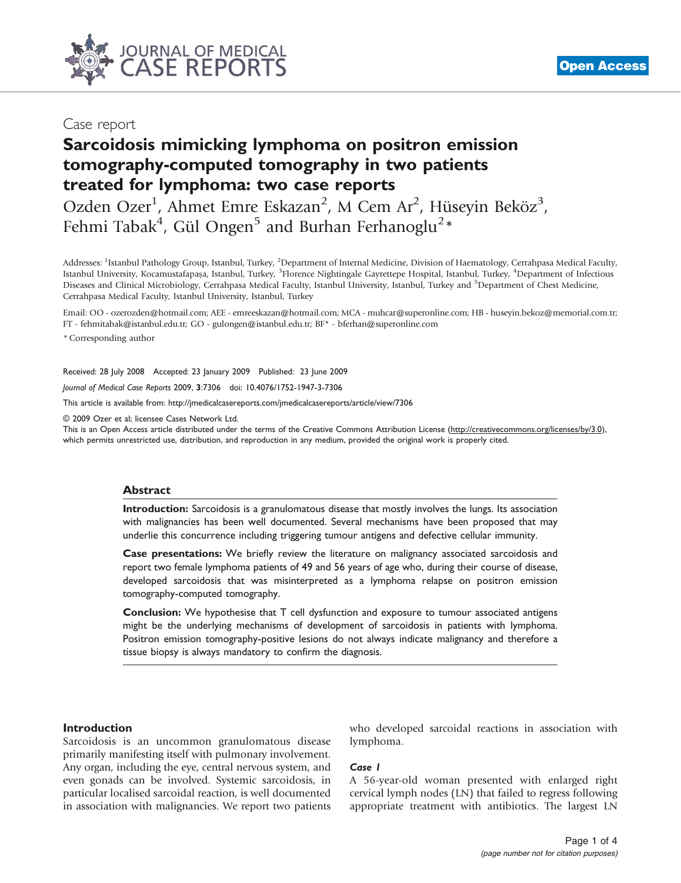

# Case report

# Sarcoidosis mimicking lymphoma on positron emission tomography-computed tomography in two patients treated for lymphoma: two case reports

Ozden Ozer<sup>1</sup>, Ahmet Emre Eskazan<sup>2</sup>, M Cem Ar<sup>2</sup>, Hüseyin Beköz<sup>3</sup>, Fehmi Tabak<sup>4</sup>, Gül Ongen<sup>5</sup> and Burhan Ferhanoglu<sup>2</sup>\*

Addresses: <sup>1</sup>Istanbul Pathology Group, Istanbul, Turkey, <sup>2</sup>Department of Internal Medicine, Division of Haematology, Cerrahpasa Medical Faculty, Istanbul University, Kocamustafapaşa, Istanbul, Turkey, <sup>3</sup>Florence Nightingale Gayrettepe Hospital, Istanbul, Turkey, <sup>4</sup>Department of Infectious Diseases and Clinical Microbiology, Cerrahpasa Medical Faculty, Istanbul University, Istanbul, Turkey and <sup>5</sup>Department of Chest Medicine, Cerrahpasa Medical Faculty, Istanbul University, Istanbul, Turkey

Email: OO - ozerozden@hotmail.com; AEE - emreeskazan@hotmail.com; MCA - muhcar@superonline.com; HB - huseyin.bekoz@memorial.com.tr; FT - fehmitabak@istanbul.edu.tr; GO - gulongen@istanbul.edu.tr; BF\* - bferhan@superonline.com

\* Corresponding author

Received: 28 July 2008 Accepted: 23 January 2009 Published: 23 June 2009

Journal of Medical Case Reports 2009, 3:7306 doi: 10.4076/1752-1947-3-7306

This article is available from:<http://jmedicalcasereports.com/jmedicalcasereports/article/view/7306>

© 2009 Ozer et al; licensee Cases Network Ltd.

This is an Open Access article distributed under the terms of the Creative Commons Attribution License [\(http://creativecommons.org/licenses/by/3.0\)](http://creativecommons.org/licenses/by/3.0), which permits unrestricted use, distribution, and reproduction in any medium, provided the original work is properly cited.

#### Abstract

Introduction: Sarcoidosis is a granulomatous disease that mostly involves the lungs. Its association with malignancies has been well documented. Several mechanisms have been proposed that may underlie this concurrence including triggering tumour antigens and defective cellular immunity.

Case presentations: We briefly review the literature on malignancy associated sarcoidosis and report two female lymphoma patients of 49 and 56 years of age who, during their course of disease, developed sarcoidosis that was misinterpreted as a lymphoma relapse on positron emission tomography-computed tomography.

Conclusion: We hypothesise that T cell dysfunction and exposure to tumour associated antigens might be the underlying mechanisms of development of sarcoidosis in patients with lymphoma. Positron emission tomography-positive lesions do not always indicate malignancy and therefore a tissue biopsy is always mandatory to confirm the diagnosis.

## Introduction

Sarcoidosis is an uncommon granulomatous disease primarily manifesting itself with pulmonary involvement. Any organ, including the eye, central nervous system, and even gonads can be involved. Systemic sarcoidosis, in particular localised sarcoidal reaction, is well documented in association with malignancies. We report two patients who developed sarcoidal reactions in association with lymphoma.

#### Case 1

A 56-year-old woman presented with enlarged right cervical lymph nodes (LN) that failed to regress following appropriate treatment with antibiotics. The largest LN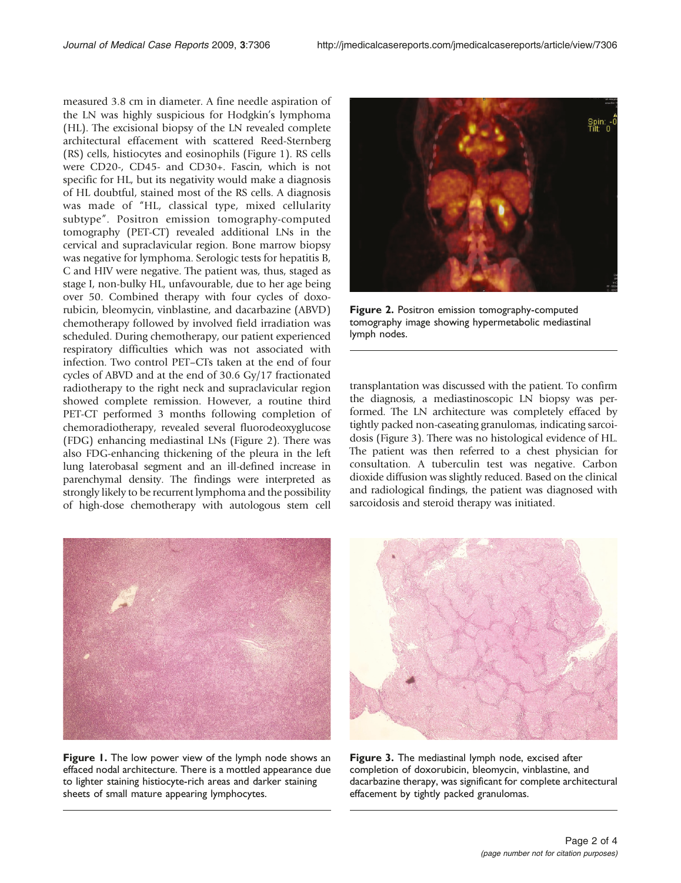measured 3.8 cm in diameter. A fine needle aspiration of the LN was highly suspicious for Hodgkin's lymphoma (HL). The excisional biopsy of the LN revealed complete architectural effacement with scattered Reed-Sternberg (RS) cells, histiocytes and eosinophils (Figure 1). RS cells were CD20-, CD45- and CD30+. Fascin, which is not specific for HL, but its negativity would make a diagnosis of HL doubtful, stained most of the RS cells. A diagnosis was made of "HL, classical type, mixed cellularity subtype". Positron emission tomography-computed tomography (PET-CT) revealed additional LNs in the cervical and supraclavicular region. Bone marrow biopsy was negative for lymphoma. Serologic tests for hepatitis B, C and HIV were negative. The patient was, thus, staged as stage I, non-bulky HL, unfavourable, due to her age being over 50. Combined therapy with four cycles of doxorubicin, bleomycin, vinblastine, and dacarbazine (ABVD) chemotherapy followed by involved field irradiation was scheduled. During chemotherapy, our patient experienced respiratory difficulties which was not associated with infection. Two control PET–CTs taken at the end of four cycles of ABVD and at the end of 30.6 Gy/17 fractionated radiotherapy to the right neck and supraclavicular region showed complete remission. However, a routine third PET-CT performed 3 months following completion of chemoradiotherapy, revealed several fluorodeoxyglucose (FDG) enhancing mediastinal LNs (Figure 2). There was also FDG-enhancing thickening of the pleura in the left lung laterobasal segment and an ill-defined increase in parenchymal density. The findings were interpreted as strongly likely to be recurrent lymphoma and the possibility of high-dose chemotherapy with autologous stem cell



Figure 2. Positron emission tomography-computed tomography image showing hypermetabolic mediastinal lymph nodes.

transplantation was discussed with the patient. To confirm the diagnosis, a mediastinoscopic LN biopsy was performed. The LN architecture was completely effaced by tightly packed non-caseating granulomas, indicating sarcoidosis (Figure 3). There was no histological evidence of HL. The patient was then referred to a chest physician for consultation. A tuberculin test was negative. Carbon dioxide diffusion was slightly reduced. Based on the clinical and radiological findings, the patient was diagnosed with sarcoidosis and steroid therapy was initiated.



Figure 1. The low power view of the lymph node shows an effaced nodal architecture. There is a mottled appearance due to lighter staining histiocyte-rich areas and darker staining sheets of small mature appearing lymphocytes.



Figure 3. The mediastinal lymph node, excised after completion of doxorubicin, bleomycin, vinblastine, and dacarbazine therapy, was significant for complete architectural effacement by tightly packed granulomas.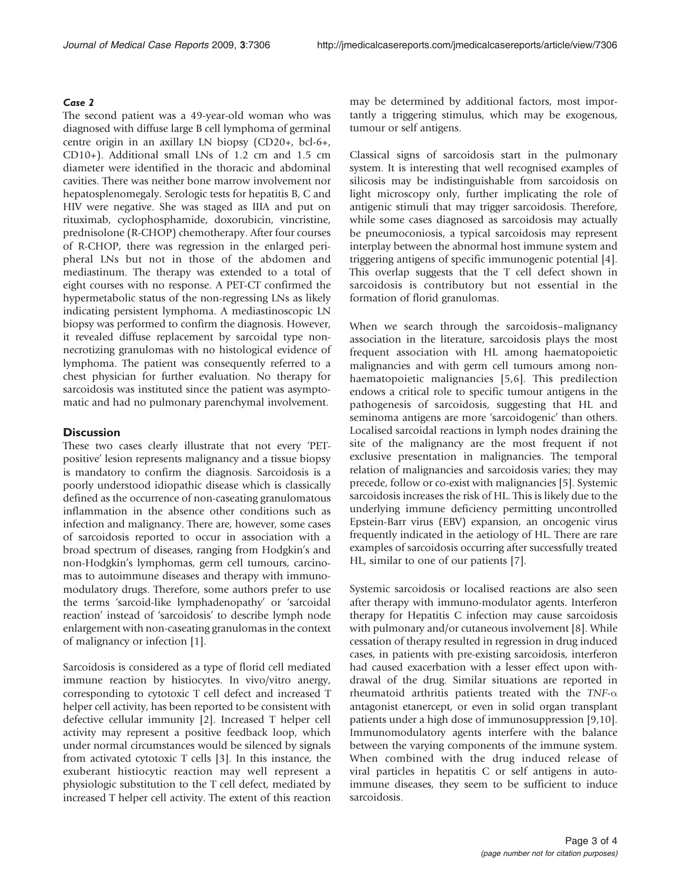## Case 2

The second patient was a 49-year-old woman who was diagnosed with diffuse large B cell lymphoma of germinal centre origin in an axillary LN biopsy (CD20+, bcl-6+, CD10+). Additional small LNs of 1.2 cm and 1.5 cm diameter were identified in the thoracic and abdominal cavities. There was neither bone marrow involvement nor hepatosplenomegaly. Serologic tests for hepatitis B, C and HIV were negative. She was staged as IIIA and put on rituximab, cyclophosphamide, doxorubicin, vincristine, prednisolone (R-CHOP) chemotherapy. After four courses of R-CHOP, there was regression in the enlarged peripheral LNs but not in those of the abdomen and mediastinum. The therapy was extended to a total of eight courses with no response. A PET-CT confirmed the hypermetabolic status of the non-regressing LNs as likely indicating persistent lymphoma. A mediastinoscopic LN biopsy was performed to confirm the diagnosis. However, it revealed diffuse replacement by sarcoidal type nonnecrotizing granulomas with no histological evidence of lymphoma. The patient was consequently referred to a chest physician for further evaluation. No therapy for sarcoidosis was instituted since the patient was asymptomatic and had no pulmonary parenchymal involvement.

# **Discussion**

These two cases clearly illustrate that not every 'PETpositive' lesion represents malignancy and a tissue biopsy is mandatory to confirm the diagnosis. Sarcoidosis is a poorly understood idiopathic disease which is classically defined as the occurrence of non-caseating granulomatous inflammation in the absence other conditions such as infection and malignancy. There are, however, some cases of sarcoidosis reported to occur in association with a broad spectrum of diseases, ranging from Hodgkin's and non-Hodgkin's lymphomas, germ cell tumours, carcinomas to autoimmune diseases and therapy with immunomodulatory drugs. Therefore, some authors prefer to use the terms 'sarcoid-like lymphadenopathy' or 'sarcoidal reaction' instead of 'sarcoidosis' to describe lymph node enlargement with non-caseating granulomas in the context of malignancy or infection [[1\]](#page-3-0).

Sarcoidosis is considered as a type of florid cell mediated immune reaction by histiocytes. In vivo/vitro anergy, corresponding to cytotoxic T cell defect and increased T helper cell activity, has been reported to be consistent with defective cellular immunity [[2](#page-3-0)]. Increased T helper cell activity may represent a positive feedback loop, which under normal circumstances would be silenced by signals from activated cytotoxic T cells [\[3\]](#page-3-0). In this instance, the exuberant histiocytic reaction may well represent a physiologic substitution to the T cell defect, mediated by increased T helper cell activity. The extent of this reaction

may be determined by additional factors, most importantly a triggering stimulus, which may be exogenous, tumour or self antigens.

Classical signs of sarcoidosis start in the pulmonary system. It is interesting that well recognised examples of silicosis may be indistinguishable from sarcoidosis on light microscopy only, further implicating the role of antigenic stimuli that may trigger sarcoidosis. Therefore, while some cases diagnosed as sarcoidosis may actually be pneumoconiosis, a typical sarcoidosis may represent interplay between the abnormal host immune system and triggering antigens of specific immunogenic potential [\[4\]](#page-3-0). This overlap suggests that the T cell defect shown in sarcoidosis is contributory but not essential in the formation of florid granulomas.

When we search through the sarcoidosis–malignancy association in the literature, sarcoidosis plays the most frequent association with HL among haematopoietic malignancies and with germ cell tumours among nonhaematopoietic malignancies [[5](#page-3-0),[6](#page-3-0)]. This predilection endows a critical role to specific tumour antigens in the pathogenesis of sarcoidosis, suggesting that HL and seminoma antigens are more 'sarcoidogenic' than others. Localised sarcoidal reactions in lymph nodes draining the site of the malignancy are the most frequent if not exclusive presentation in malignancies. The temporal relation of malignancies and sarcoidosis varies; they may precede, follow or co-exist with malignancies [\[5](#page-3-0)]. Systemic sarcoidosis increases the risk of HL. This is likely due to the underlying immune deficiency permitting uncontrolled Epstein-Barr virus (EBV) expansion, an oncogenic virus frequently indicated in the aetiology of HL. There are rare examples of sarcoidosis occurring after successfully treated HL, similar to one of our patients [[7\]](#page-3-0).

Systemic sarcoidosis or localised reactions are also seen after therapy with immuno-modulator agents. Interferon therapy for Hepatitis C infection may cause sarcoidosis with pulmonary and/or cutaneous involvement [\[8\]](#page-3-0). While cessation of therapy resulted in regression in drug induced cases, in patients with pre-existing sarcoidosis, interferon had caused exacerbation with a lesser effect upon withdrawal of the drug. Similar situations are reported in rheumatoid arthritis patients treated with the  $TNF-\alpha$ antagonist etanercept, or even in solid organ transplant patients under a high dose of immunosuppression [\[9,10\]](#page-3-0). Immunomodulatory agents interfere with the balance between the varying components of the immune system. When combined with the drug induced release of viral particles in hepatitis C or self antigens in autoimmune diseases, they seem to be sufficient to induce sarcoidosis.